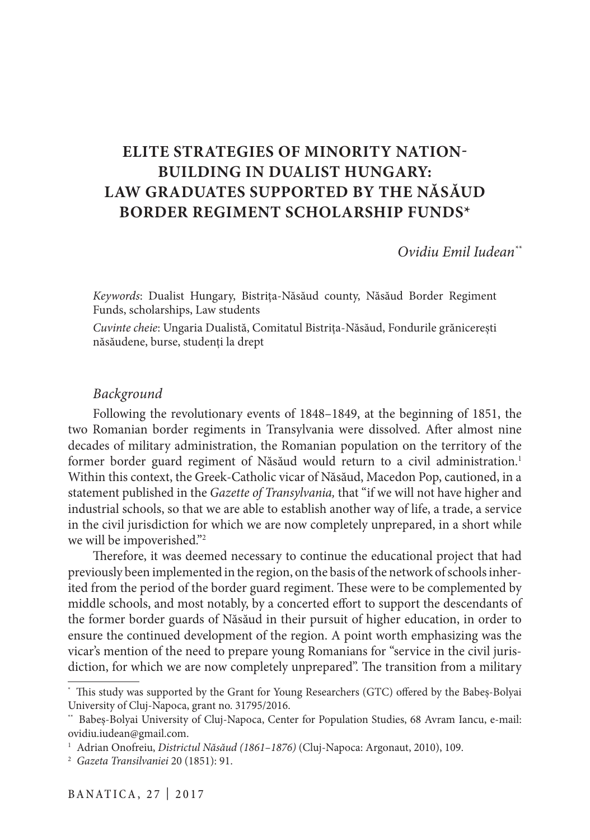# **ELITE STRATEGIES OF MINORITY NATION-BUILDING IN DUALIST HUNGARY: LAW GRADUATES SUPPORTED BY THE NĂSĂUD BORDER REGIMENT SCHOLARSHIP FUNDS\***

*Ovidiu Emil Iudean\*\**

*Keywords*: Dualist Hungary, Bistrița-Năsăud county, Năsăud Border Regiment Funds, scholarships, Law students

*Cuvinte cheie*: Ungaria Dualistă, Comitatul Bistrița-Năsăud, Fondurile grănicerești năsăudene, burse, studenți la drept

### *Background*

Following the revolutionary events of 1848–1849, at the beginning of 1851, the two Romanian border regiments in Transylvania were dissolved. After almost nine decades of military administration, the Romanian population on the territory of the former border guard regiment of Năsăud would return to a civil administration.<sup>1</sup> Within this context, the Greek-Catholic vicar of Năsăud, Macedon Pop, cautioned, in a statement published in the *Gazette of Transylvania,* that "if we will not have higher and industrial schools, so that we are able to establish another way of life, a trade, a service in the civil jurisdiction for which we are now completely unprepared, in a short while we will be impoverished."2

Therefore, it was deemed necessary to continue the educational project that had previously been implemented in the region, on the basis of the network of schools inherited from the period of the border guard regiment. These were to be complemented by middle schools, and most notably, by a concerted effort to support the descendants of the former border guards of Năsăud in their pursuit of higher education, in order to ensure the continued development of the region. A point worth emphasizing was the vicar's mention of the need to prepare young Romanians for "service in the civil jurisdiction, for which we are now completely unprepared". The transition from a military

<sup>\*</sup> This study was supported by the Grant for Young Researchers (GTC) offered by the Babeș-Bolyai University of Cluj-Napoca, grant no. 31795/2016.

<sup>\*\*</sup> Babeș-Bolyai University of Cluj-Napoca, Center for Population Studies, 68 Avram Iancu, e-mail: ovidiu.iudean@gmail.com.

<sup>&</sup>lt;sup>1</sup> Adrian Onofreiu, *Districtul Năsăud (1861-1876)* (Cluj-Napoca: Argonaut, 2010), 109.

<sup>2</sup> *Gazeta Transilvaniei* 20 (1851): 91.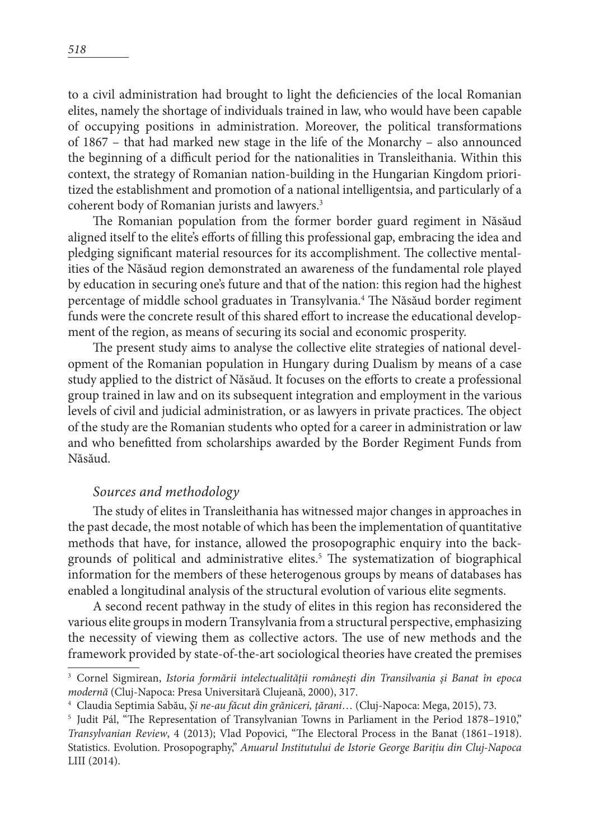to a civil administration had brought to light the deficiencies of the local Romanian elites, namely the shortage of individuals trained in law, who would have been capable of occupying positions in administration. Moreover, the political transformations of 1867 – that had marked new stage in the life of the Monarchy – also announced the beginning of a difficult period for the nationalities in Transleithania. Within this context, the strategy of Romanian nation-building in the Hungarian Kingdom prioritized the establishment and promotion of a national intelligentsia, and particularly of a coherent body of Romanian jurists and lawyers.<sup>3</sup>

The Romanian population from the former border guard regiment in Năsăud aligned itself to the elite's efforts of filling this professional gap, embracing the idea and pledging significant material resources for its accomplishment. The collective mentalities of the Năsăud region demonstrated an awareness of the fundamental role played by education in securing one's future and that of the nation: this region had the highest percentage of middle school graduates in Transylvania.<sup>4</sup> The Năsăud border regiment funds were the concrete result of this shared effort to increase the educational development of the region, as means of securing its social and economic prosperity.

The present study aims to analyse the collective elite strategies of national development of the Romanian population in Hungary during Dualism by means of a case study applied to the district of Năsăud. It focuses on the efforts to create a professional group trained in law and on its subsequent integration and employment in the various levels of civil and judicial administration, or as lawyers in private practices. The object of the study are the Romanian students who opted for a career in administration or law and who benefitted from scholarships awarded by the Border Regiment Funds from Năsăud.

## *Sources and methodology*

The study of elites in Transleithania has witnessed major changes in approaches in the past decade, the most notable of which has been the implementation of quantitative methods that have, for instance, allowed the prosopographic enquiry into the backgrounds of political and administrative elites.5 The systematization of biographical information for the members of these heterogenous groups by means of databases has enabled a longitudinal analysis of the structural evolution of various elite segments.

A second recent pathway in the study of elites in this region has reconsidered the various elite groups in modern Transylvania from a structural perspective, emphasizing the necessity of viewing them as collective actors. The use of new methods and the framework provided by state-of-the-art sociological theories have created the premises

<sup>3</sup> Cornel Sigmirean, *Istoria formării intelectualității românești din Transilvania și Banat în epoca modernă* (Cluj-Napoca: Presa Universitară Clujeană, 2000), 317.

<sup>4</sup> Claudia Septimia Sabău, *Și ne-au făcut din grăniceri, țărani*… (Cluj-Napoca: Mega, 2015), 73.

<sup>5</sup> Judit Pál, "The Representation of Transylvanian Towns in Parliament in the Period 1878–1910," *Transylvanian Review*, 4 (2013); Vlad Popovici, "The Electoral Process in the Banat (1861–1918). Statistics. Evolution. Prosopography," *Anuarul Institutului de Istorie George Barițiu din Cluj-Napoca* LIII (2014).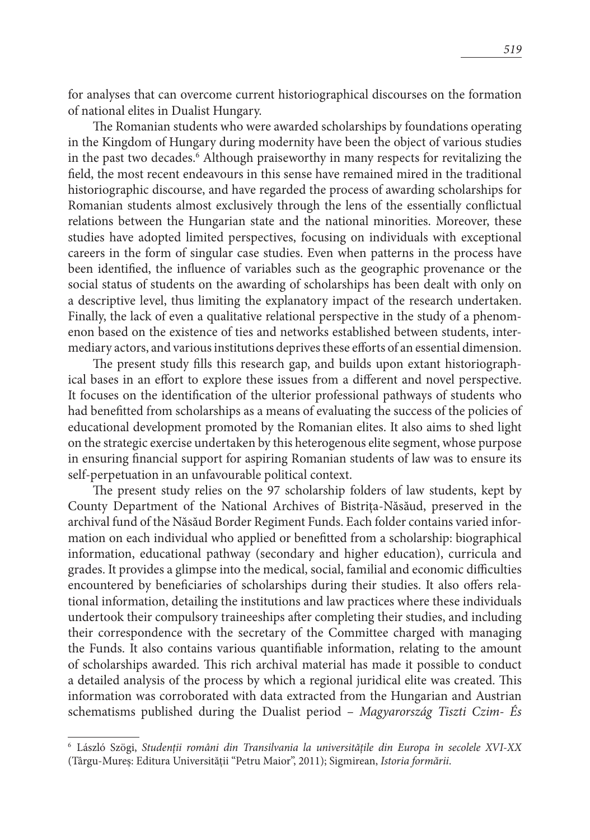for analyses that can overcome current historiographical discourses on the formation of national elites in Dualist Hungary.

The Romanian students who were awarded scholarships by foundations operating in the Kingdom of Hungary during modernity have been the object of various studies in the past two decades.6 Although praiseworthy in many respects for revitalizing the field, the most recent endeavours in this sense have remained mired in the traditional historiographic discourse, and have regarded the process of awarding scholarships for Romanian students almost exclusively through the lens of the essentially conflictual relations between the Hungarian state and the national minorities. Moreover, these studies have adopted limited perspectives, focusing on individuals with exceptional careers in the form of singular case studies. Even when patterns in the process have been identified, the influence of variables such as the geographic provenance or the social status of students on the awarding of scholarships has been dealt with only on a descriptive level, thus limiting the explanatory impact of the research undertaken. Finally, the lack of even a qualitative relational perspective in the study of a phenomenon based on the existence of ties and networks established between students, intermediary actors, and various institutions deprives these efforts of an essential dimension.

The present study fills this research gap, and builds upon extant historiographical bases in an effort to explore these issues from a different and novel perspective. It focuses on the identification of the ulterior professional pathways of students who had benefitted from scholarships as a means of evaluating the success of the policies of educational development promoted by the Romanian elites. It also aims to shed light on the strategic exercise undertaken by this heterogenous elite segment, whose purpose in ensuring financial support for aspiring Romanian students of law was to ensure its self-perpetuation in an unfavourable political context.

The present study relies on the 97 scholarship folders of law students, kept by County Department of the National Archives of Bistrița-Năsăud, preserved in the archival fund of the Năsăud Border Regiment Funds. Each folder contains varied information on each individual who applied or benefitted from a scholarship: biographical information, educational pathway (secondary and higher education), curricula and grades. It provides a glimpse into the medical, social, familial and economic difficulties encountered by beneficiaries of scholarships during their studies. It also offers relational information, detailing the institutions and law practices where these individuals undertook their compulsory traineeships after completing their studies, and including their correspondence with the secretary of the Committee charged with managing the Funds. It also contains various quantifiable information, relating to the amount of scholarships awarded. This rich archival material has made it possible to conduct a detailed analysis of the process by which a regional juridical elite was created. This information was corroborated with data extracted from the Hungarian and Austrian schematisms published during the Dualist period – *Magyarország Tiszti Czim- És* 

<sup>6</sup> László Szögi, *Studenții români din Transilvania la universitățile din Europa în secolele XVI-XX* (Târgu-Mureș: Editura Universității "Petru Maior", 2011); Sigmirean, *Istoria formării*.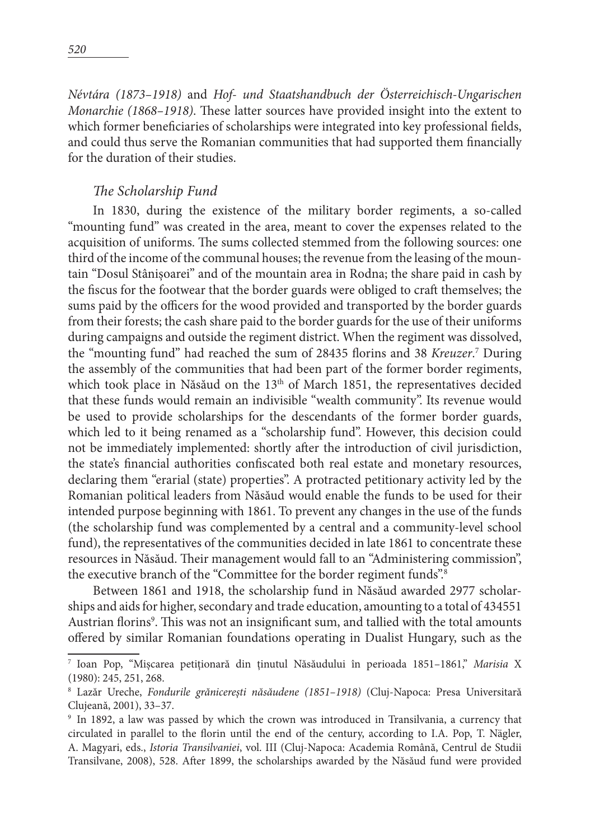*Névtára (1873–1918)* and *Hof- und Staatshandbuch der Österreichisch-Ungarischen Monarchie (1868–1918)*. These latter sources have provided insight into the extent to which former beneficiaries of scholarships were integrated into key professional fields, and could thus serve the Romanian communities that had supported them financially for the duration of their studies.

#### *The Scholarship Fund*

In 1830, during the existence of the military border regiments, a so-called "mounting fund" was created in the area, meant to cover the expenses related to the acquisition of uniforms. The sums collected stemmed from the following sources: one third of the income of the communal houses; the revenue from the leasing of the mountain "Dosul Stânișoarei" and of the mountain area in Rodna; the share paid in cash by the fiscus for the footwear that the border guards were obliged to craft themselves; the sums paid by the officers for the wood provided and transported by the border guards from their forests; the cash share paid to the border guards for the use of their uniforms during campaigns and outside the regiment district. When the regiment was dissolved, the "mounting fund" had reached the sum of 28435 florins and 38 *Kreuzer*. 7 During the assembly of the communities that had been part of the former border regiments, which took place in Năsăud on the  $13<sup>th</sup>$  of March 1851, the representatives decided that these funds would remain an indivisible "wealth community". Its revenue would be used to provide scholarships for the descendants of the former border guards, which led to it being renamed as a "scholarship fund". However, this decision could not be immediately implemented: shortly after the introduction of civil jurisdiction, the state's financial authorities confiscated both real estate and monetary resources, declaring them "erarial (state) properties". A protracted petitionary activity led by the Romanian political leaders from Năsăud would enable the funds to be used for their intended purpose beginning with 1861. To prevent any changes in the use of the funds (the scholarship fund was complemented by a central and a community-level school fund), the representatives of the communities decided in late 1861 to concentrate these resources in Năsăud. Their management would fall to an "Administering commission", the executive branch of the "Committee for the border regiment funds".8

Between 1861 and 1918, the scholarship fund in Năsăud awarded 2977 scholarships and aids for higher, secondary and trade education, amounting to a total of 434551 Austrian florins<sup>9</sup>. This was not an insignificant sum, and tallied with the total amounts offered by similar Romanian foundations operating in Dualist Hungary, such as the

<sup>7</sup> Ioan Pop, "Mișcarea petiționară din ținutul Năsăudului în perioada 1851–1861," *Marisia* X (1980): 245, 251, 268.

<sup>8</sup> Lazăr Ureche, *Fondurile grănicerești năsăudene (1851–1918)* (Cluj-Napoca: Presa Universitară Clujeană, 2001), 33–37.

<sup>9</sup> In 1892, a law was passed by which the crown was introduced in Transilvania, a currency that circulated in parallel to the florin until the end of the century, according to I.A. Pop, T. Nägler, A. Magyari, eds., *Istoria Transilvaniei*, vol. III (Cluj-Napoca: Academia Română, Centrul de Studii Transilvane, 2008), 528. After 1899, the scholarships awarded by the Năsăud fund were provided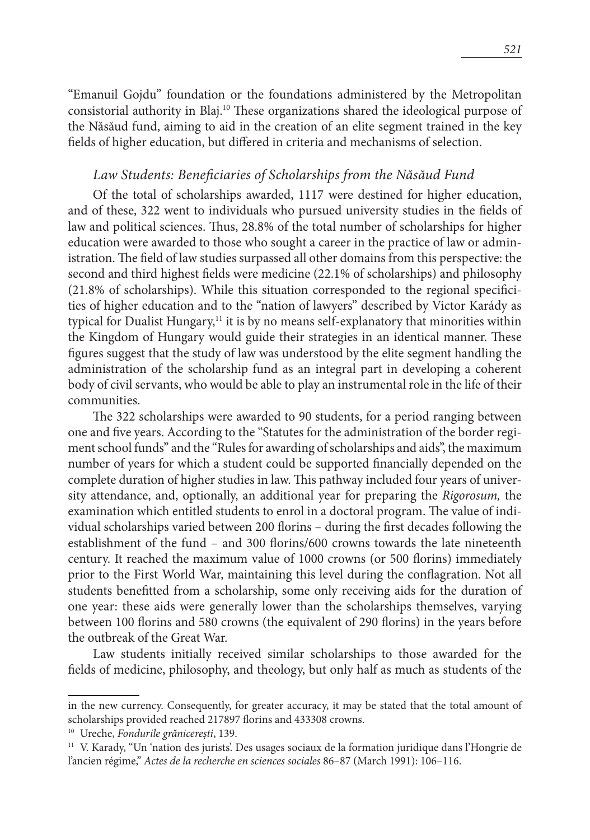"Emanuil Gojdu" foundation or the foundations administered by the Metropolitan consistorial authority in Blaj.10 These organizations shared the ideological purpose of the Năsăud fund, aiming to aid in the creation of an elite segment trained in the key fields of higher education, but differed in criteria and mechanisms of selection.

#### *Law Students: Beneficiaries of Scholarships from the Năsăud Fund*

Of the total of scholarships awarded, 1117 were destined for higher education, and of these, 322 went to individuals who pursued university studies in the fields of law and political sciences. Thus, 28.8% of the total number of scholarships for higher education were awarded to those who sought a career in the practice of law or administration. The field of law studies surpassed all other domains from this perspective: the second and third highest fields were medicine (22.1% of scholarships) and philosophy (21.8% of scholarships). While this situation corresponded to the regional specificities of higher education and to the "nation of lawyers" described by Victor Karády as typical for Dualist Hungary, $11$  it is by no means self-explanatory that minorities within the Kingdom of Hungary would guide their strategies in an identical manner. These figures suggest that the study of law was understood by the elite segment handling the administration of the scholarship fund as an integral part in developing a coherent body of civil servants, who would be able to play an instrumental role in the life of their communities.

The 322 scholarships were awarded to 90 students, for a period ranging between one and five years. According to the "Statutes for the administration of the border regiment school funds" and the "Rules for awarding of scholarships and aids", the maximum number of years for which a student could be supported financially depended on the complete duration of higher studies in law. This pathway included four years of university attendance, and, optionally, an additional year for preparing the *Rigorosum,* the examination which entitled students to enrol in a doctoral program. The value of individual scholarships varied between 200 florins – during the first decades following the establishment of the fund – and 300 florins/600 crowns towards the late nineteenth century. It reached the maximum value of 1000 crowns (or 500 florins) immediately prior to the First World War, maintaining this level during the conflagration. Not all students benefitted from a scholarship, some only receiving aids for the duration of one year: these aids were generally lower than the scholarships themselves, varying between 100 florins and 580 crowns (the equivalent of 290 florins) in the years before the outbreak of the Great War.

Law students initially received similar scholarships to those awarded for the fields of medicine, philosophy, and theology, but only half as much as students of the

in the new currency. Consequently, for greater accuracy, it may be stated that the total amount of scholarships provided reached 217897 florins and 433308 crowns.

<sup>&</sup>lt;sup>10</sup> Ureche, *Fondurile grănicerești*, 139.<br><sup>11</sup> V. Karady, "Un 'nation des jurists'. Des usages sociaux de la formation juridique dans l'Hongrie de l'ancien régime," *Actes de la recherche en sciences sociales* 86–87 (March 1991): 106–116.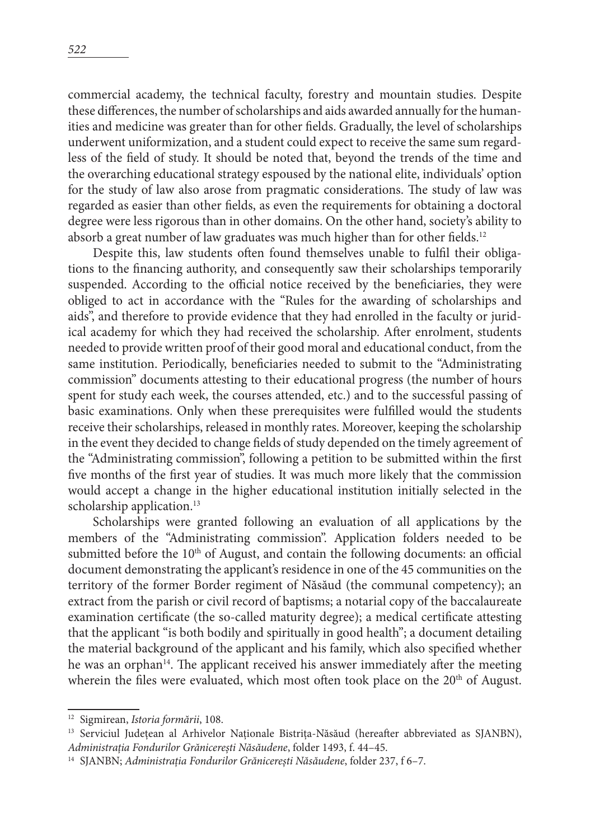commercial academy, the technical faculty, forestry and mountain studies. Despite these differences, the number of scholarships and aids awarded annually for the humanities and medicine was greater than for other fields. Gradually, the level of scholarships underwent uniformization, and a student could expect to receive the same sum regardless of the field of study. It should be noted that, beyond the trends of the time and the overarching educational strategy espoused by the national elite, individuals' option for the study of law also arose from pragmatic considerations. The study of law was regarded as easier than other fields, as even the requirements for obtaining a doctoral degree were less rigorous than in other domains. On the other hand, society's ability to absorb a great number of law graduates was much higher than for other fields.<sup>12</sup>

Despite this, law students often found themselves unable to fulfil their obligations to the financing authority, and consequently saw their scholarships temporarily suspended. According to the official notice received by the beneficiaries, they were obliged to act in accordance with the "Rules for the awarding of scholarships and aids", and therefore to provide evidence that they had enrolled in the faculty or juridical academy for which they had received the scholarship. After enrolment, students needed to provide written proof of their good moral and educational conduct, from the same institution. Periodically, beneficiaries needed to submit to the "Administrating commission" documents attesting to their educational progress (the number of hours spent for study each week, the courses attended, etc.) and to the successful passing of basic examinations. Only when these prerequisites were fulfilled would the students receive their scholarships, released in monthly rates. Moreover, keeping the scholarship in the event they decided to change fields of study depended on the timely agreement of the "Administrating commission", following a petition to be submitted within the first five months of the first year of studies. It was much more likely that the commission would accept a change in the higher educational institution initially selected in the scholarship application.<sup>13</sup>

Scholarships were granted following an evaluation of all applications by the members of the "Administrating commission". Application folders needed to be submitted before the 10<sup>th</sup> of August, and contain the following documents: an official document demonstrating the applicant's residence in one of the 45 communities on the territory of the former Border regiment of Năsăud (the communal competency); an extract from the parish or civil record of baptisms; a notarial copy of the baccalaureate examination certificate (the so-called maturity degree); a medical certificate attesting that the applicant "is both bodily and spiritually in good health"; a document detailing the material background of the applicant and his family, which also specified whether he was an orphan<sup>14</sup>. The applicant received his answer immediately after the meeting wherein the files were evaluated, which most often took place on the  $20<sup>th</sup>$  of August.

<sup>12</sup> Sigmirean, *Istoria formării*, 108.

<sup>&</sup>lt;sup>13</sup> Serviciul Județean al Arhivelor Naționale Bistrița-Năsăud (hereafter abbreviated as SJANBN), *Administrația Fondurilor Grănicerești Năsăudene*, folder 1493, f. 44–45.

<sup>14</sup> SJANBN; *Administrația Fondurilor Grănicerești Năsăudene*, folder 237, f 6–7.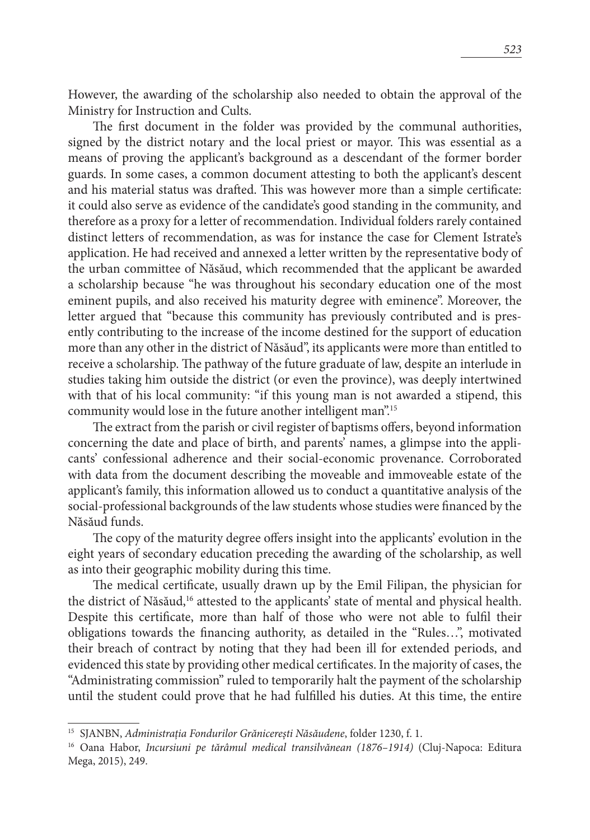However, the awarding of the scholarship also needed to obtain the approval of the Ministry for Instruction and Cults.

The first document in the folder was provided by the communal authorities, signed by the district notary and the local priest or mayor. This was essential as a means of proving the applicant's background as a descendant of the former border guards. In some cases, a common document attesting to both the applicant's descent and his material status was drafted. This was however more than a simple certificate: it could also serve as evidence of the candidate's good standing in the community, and therefore as a proxy for a letter of recommendation. Individual folders rarely contained distinct letters of recommendation, as was for instance the case for Clement Istrate's application. He had received and annexed a letter written by the representative body of the urban committee of Năsăud, which recommended that the applicant be awarded a scholarship because "he was throughout his secondary education one of the most eminent pupils, and also received his maturity degree with eminence". Moreover, the letter argued that "because this community has previously contributed and is presently contributing to the increase of the income destined for the support of education more than any other in the district of Năsăud", its applicants were more than entitled to receive a scholarship. The pathway of the future graduate of law, despite an interlude in studies taking him outside the district (or even the province), was deeply intertwined with that of his local community: "if this young man is not awarded a stipend, this community would lose in the future another intelligent man".15

The extract from the parish or civil register of baptisms offers, beyond information concerning the date and place of birth, and parents' names, a glimpse into the applicants' confessional adherence and their social-economic provenance. Corroborated with data from the document describing the moveable and immoveable estate of the applicant's family, this information allowed us to conduct a quantitative analysis of the social-professional backgrounds of the law students whose studies were financed by the Năsăud funds.

The copy of the maturity degree offers insight into the applicants' evolution in the eight years of secondary education preceding the awarding of the scholarship, as well as into their geographic mobility during this time.

The medical certificate, usually drawn up by the Emil Filipan, the physician for the district of Năsăud,<sup>16</sup> attested to the applicants' state of mental and physical health. Despite this certificate, more than half of those who were not able to fulfil their obligations towards the financing authority, as detailed in the "Rules…", motivated their breach of contract by noting that they had been ill for extended periods, and evidenced this state by providing other medical certificates. In the majority of cases, the "Administrating commission" ruled to temporarily halt the payment of the scholarship until the student could prove that he had fulfilled his duties. At this time, the entire

<sup>&</sup>lt;sup>15</sup> SJANBN, *Administrația Fondurilor Grănicerești Năsăudene*, folder 1230, f. 1.<br><sup>16</sup> Oana Habor, *Incursiuni pe tărâmul medical transilvănean (1876–1914) (Cluj-Napoca: Editura* Mega, 2015), 249.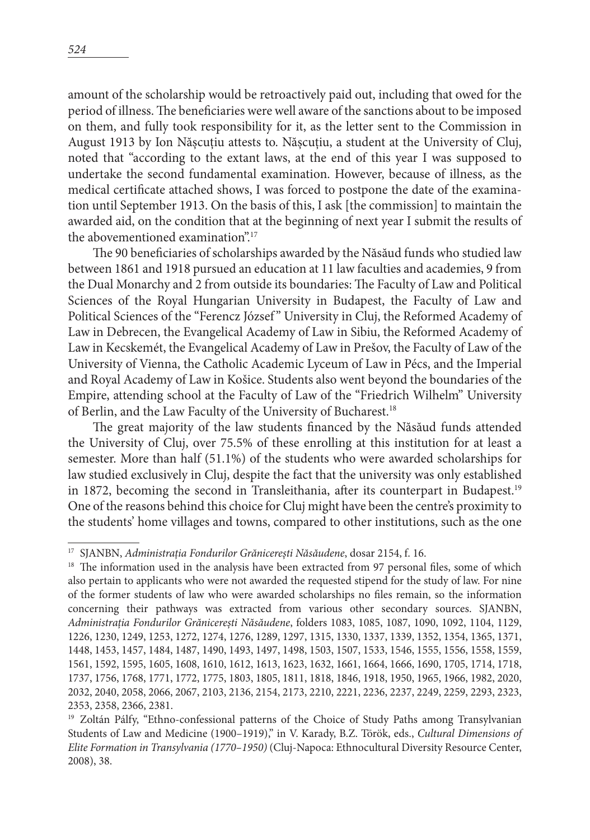amount of the scholarship would be retroactively paid out, including that owed for the period of illness. The beneficiaries were well aware of the sanctions about to be imposed on them, and fully took responsibility for it, as the letter sent to the Commission in August 1913 by Ion Nășcuțiu attests to. Nășcuțiu, a student at the University of Cluj, noted that "according to the extant laws, at the end of this year I was supposed to undertake the second fundamental examination. However, because of illness, as the medical certificate attached shows, I was forced to postpone the date of the examination until September 1913. On the basis of this, I ask [the commission] to maintain the awarded aid, on the condition that at the beginning of next year I submit the results of the abovementioned examination".<sup>17</sup>

The 90 beneficiaries of scholarships awarded by the Năsăud funds who studied law between 1861 and 1918 pursued an education at 11 law faculties and academies, 9 from the Dual Monarchy and 2 from outside its boundaries: The Faculty of Law and Political Sciences of the Royal Hungarian University in Budapest, the Faculty of Law and Political Sciences of the "Ferencz József" University in Cluj, the Reformed Academy of Law in Debrecen, the Evangelical Academy of Law in Sibiu, the Reformed Academy of Law in Kecskemét, the Evangelical Academy of Law in Prešov, the Faculty of Law of the University of Vienna, the Catholic Academic Lyceum of Law in Pécs, and the Imperial and Royal Academy of Law in Košice. Students also went beyond the boundaries of the Empire, attending school at the Faculty of Law of the "Friedrich Wilhelm" University of Berlin, and the Law Faculty of the University of Bucharest.18

The great majority of the law students financed by the Năsăud funds attended the University of Cluj, over 75.5% of these enrolling at this institution for at least a semester. More than half (51.1%) of the students who were awarded scholarships for law studied exclusively in Cluj, despite the fact that the university was only established in 1872, becoming the second in Transleithania, after its counterpart in Budapest.<sup>19</sup> One of the reasons behind this choice for Cluj might have been the centre's proximity to the students' home villages and towns, compared to other institutions, such as the one

<sup>17</sup> SJANBN, *Administrația Fondurilor Grănicerești Năsăudene*, dosar 2154, f. 16.

<sup>&</sup>lt;sup>18</sup> The information used in the analysis have been extracted from 97 personal files, some of which also pertain to applicants who were not awarded the requested stipend for the study of law. For nine of the former students of law who were awarded scholarships no files remain, so the information concerning their pathways was extracted from various other secondary sources. SJANBN, *Administrația Fondurilor Grănicerești Năsăudene*, folders 1083, 1085, 1087, 1090, 1092, 1104, 1129, 1226, 1230, 1249, 1253, 1272, 1274, 1276, 1289, 1297, 1315, 1330, 1337, 1339, 1352, 1354, 1365, 1371, 1448, 1453, 1457, 1484, 1487, 1490, 1493, 1497, 1498, 1503, 1507, 1533, 1546, 1555, 1556, 1558, 1559, 1561, 1592, 1595, 1605, 1608, 1610, 1612, 1613, 1623, 1632, 1661, 1664, 1666, 1690, 1705, 1714, 1718, 1737, 1756, 1768, 1771, 1772, 1775, 1803, 1805, 1811, 1818, 1846, 1918, 1950, 1965, 1966, 1982, 2020, 2032, 2040, 2058, 2066, 2067, 2103, 2136, 2154, 2173, 2210, 2221, 2236, 2237, 2249, 2259, 2293, 2323, 2353, 2358, 2366, 2381.

<sup>&</sup>lt;sup>19</sup> Zoltán Pálfy, "Ethno-confessional patterns of the Choice of Study Paths among Transylvanian Students of Law and Medicine (1900–1919)," in V. Karady, B.Z. Török, eds., *Cultural Dimensions of Elite Formation in Transylvania (1770–1950)* (Cluj-Napoca: Ethnocultural Diversity Resource Center, 2008), 38.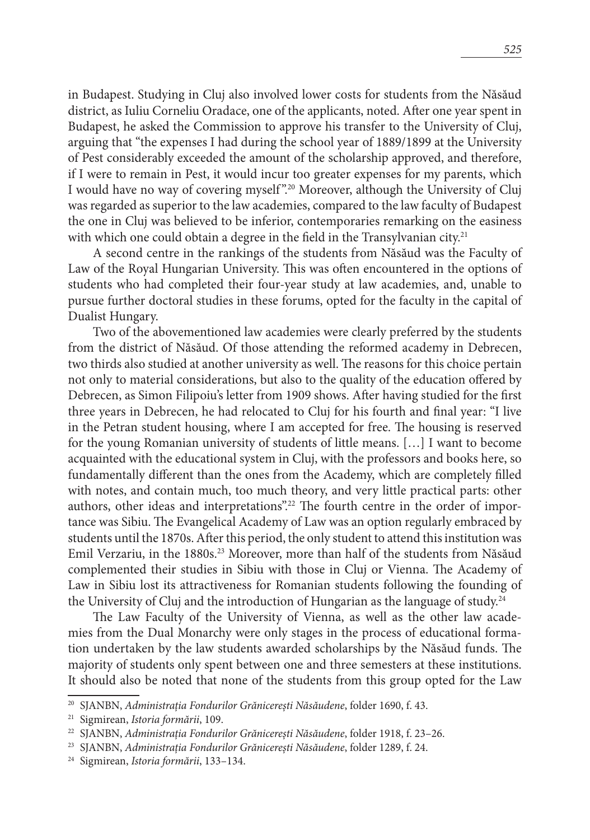in Budapest. Studying in Cluj also involved lower costs for students from the Năsăud district, as Iuliu Corneliu Oradace, one of the applicants, noted. After one year spent in Budapest, he asked the Commission to approve his transfer to the University of Cluj, arguing that "the expenses I had during the school year of 1889/1899 at the University of Pest considerably exceeded the amount of the scholarship approved, and therefore, if I were to remain in Pest, it would incur too greater expenses for my parents, which I would have no way of covering myself ".20 Moreover, although the University of Cluj was regarded as superior to the law academies, compared to the law faculty of Budapest the one in Cluj was believed to be inferior, contemporaries remarking on the easiness with which one could obtain a degree in the field in the Transylvanian city.<sup>21</sup>

A second centre in the rankings of the students from Năsăud was the Faculty of Law of the Royal Hungarian University. This was often encountered in the options of students who had completed their four-year study at law academies, and, unable to pursue further doctoral studies in these forums, opted for the faculty in the capital of Dualist Hungary.

Two of the abovementioned law academies were clearly preferred by the students from the district of Năsăud. Of those attending the reformed academy in Debrecen, two thirds also studied at another university as well. The reasons for this choice pertain not only to material considerations, but also to the quality of the education offered by Debrecen, as Simon Filipoiu's letter from 1909 shows. After having studied for the first three years in Debrecen, he had relocated to Cluj for his fourth and final year: "I live in the Petran student housing, where I am accepted for free. The housing is reserved for the young Romanian university of students of little means. […] I want to become acquainted with the educational system in Cluj, with the professors and books here, so fundamentally different than the ones from the Academy, which are completely filled with notes, and contain much, too much theory, and very little practical parts: other authors, other ideas and interpretations".<sup>22</sup> The fourth centre in the order of importance was Sibiu. The Evangelical Academy of Law was an option regularly embraced by students until the 1870s. After this period, the only student to attend this institution was Emil Verzariu, in the 1880s.23 Moreover, more than half of the students from Năsăud complemented their studies in Sibiu with those in Cluj or Vienna. The Academy of Law in Sibiu lost its attractiveness for Romanian students following the founding of the University of Cluj and the introduction of Hungarian as the language of study.<sup>24</sup>

The Law Faculty of the University of Vienna, as well as the other law academies from the Dual Monarchy were only stages in the process of educational formation undertaken by the law students awarded scholarships by the Năsăud funds. The majority of students only spent between one and three semesters at these institutions. It should also be noted that none of the students from this group opted for the Law

<sup>20</sup> SJANBN, *Administrația Fondurilor Grănicerești Năsăudene*, folder 1690, f. 43.

<sup>21</sup> Sigmirean, *Istoria formării*, 109.

<sup>22</sup> SJANBN, *Administrația Fondurilor Grănicerești Năsăudene*, folder 1918, f. 23–26.

<sup>23</sup> SJANBN, *Administrația Fondurilor Grănicerești Năsăudene*, folder 1289, f. 24.

<sup>24</sup> Sigmirean, *Istoria formării*, 133–134.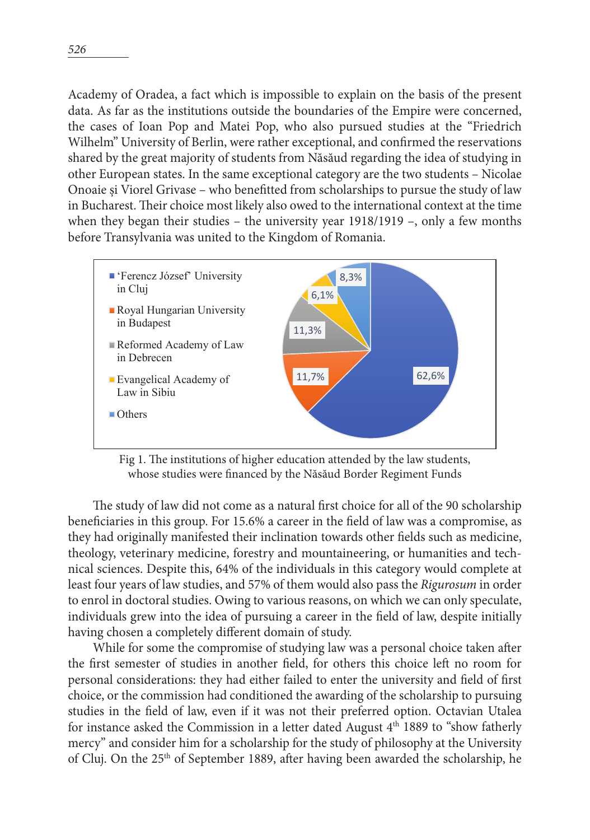Academy of Oradea, a fact which is impossible to explain on the basis of the present data. As far as the institutions outside the boundaries of the Empire were concerned, the cases of Ioan Pop and Matei Pop, who also pursued studies at the "Friedrich Wilhelm" University of Berlin, were rather exceptional, and confirmed the reservations shared by the great majority of students from Năsăud regarding the idea of studying in other European states. In the same exceptional category are the two students – Nicolae Onoaie și Viorel Grivase – who benefitted from scholarships to pursue the study of law in Bucharest. Their choice most likely also owed to the international context at the time when they began their studies – the university year 1918/1919 –, only a few months before Transylvania was united to the Kingdom of Romania.



Fig 1. The institutions of higher education attended by the law students, whose studies were financed by the Năsăud Border Regiment Funds

The study of law did not come as a natural first choice for all of the 90 scholarship beneficiaries in this group. For 15.6% a career in the field of law was a compromise, as they had originally manifested their inclination towards other fields such as medicine, theology, veterinary medicine, forestry and mountaineering, or humanities and technical sciences. Despite this, 64% of the individuals in this category would complete at least four years of law studies, and 57% of them would also pass the *Rigurosum* in order to enrol in doctoral studies. Owing to various reasons, on which we can only speculate, individuals grew into the idea of pursuing a career in the field of law, despite initially having chosen a completely different domain of study.

While for some the compromise of studying law was a personal choice taken after the first semester of studies in another field, for others this choice left no room for personal considerations: they had either failed to enter the university and field of first choice, or the commission had conditioned the awarding of the scholarship to pursuing studies in the field of law, even if it was not their preferred option. Octavian Utalea for instance asked the Commission in a letter dated August  $4<sup>th</sup>$  1889 to "show fatherly mercy" and consider him for a scholarship for the study of philosophy at the University of Cluj. On the 25<sup>th</sup> of September 1889, after having been awarded the scholarship, he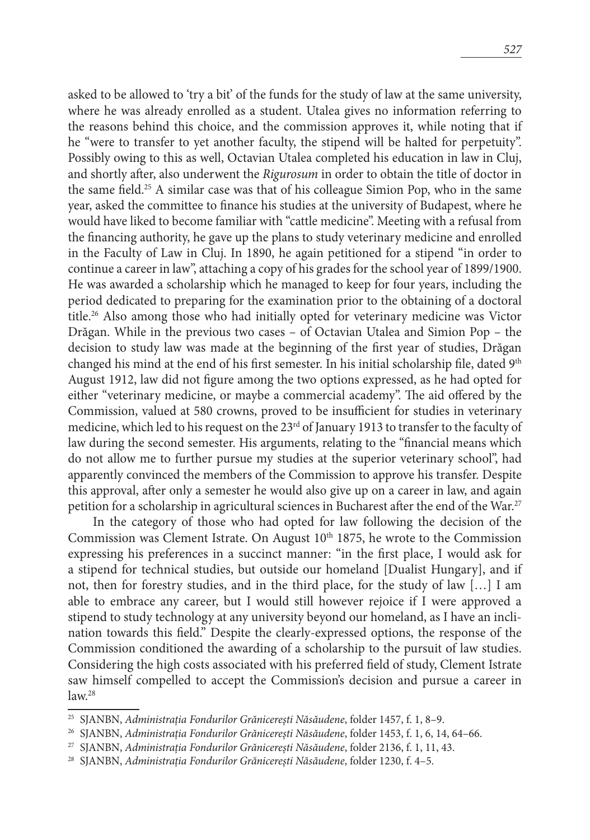asked to be allowed to 'try a bit' of the funds for the study of law at the same university, where he was already enrolled as a student. Utalea gives no information referring to the reasons behind this choice, and the commission approves it, while noting that if he "were to transfer to yet another faculty, the stipend will be halted for perpetuity". Possibly owing to this as well, Octavian Utalea completed his education in law in Cluj, and shortly after, also underwent the *Rigurosum* in order to obtain the title of doctor in the same field.25 A similar case was that of his colleague Simion Pop, who in the same year, asked the committee to finance his studies at the university of Budapest, where he would have liked to become familiar with "cattle medicine". Meeting with a refusal from the financing authority, he gave up the plans to study veterinary medicine and enrolled in the Faculty of Law in Cluj. In 1890, he again petitioned for a stipend "in order to continue a career in law", attaching a copy of his grades for the school year of 1899/1900. He was awarded a scholarship which he managed to keep for four years, including the period dedicated to preparing for the examination prior to the obtaining of a doctoral title.26 Also among those who had initially opted for veterinary medicine was Victor Drăgan. While in the previous two cases – of Octavian Utalea and Simion Pop – the decision to study law was made at the beginning of the first year of studies, Drăgan changed his mind at the end of his first semester. In his initial scholarship file, dated  $9<sup>th</sup>$ August 1912, law did not figure among the two options expressed, as he had opted for either "veterinary medicine, or maybe a commercial academy". The aid offered by the Commission, valued at 580 crowns, proved to be insufficient for studies in veterinary medicine, which led to his request on the  $23<sup>rd</sup>$  of January 1913 to transfer to the faculty of law during the second semester. His arguments, relating to the "financial means which do not allow me to further pursue my studies at the superior veterinary school", had apparently convinced the members of the Commission to approve his transfer. Despite this approval, after only a semester he would also give up on a career in law, and again petition for a scholarship in agricultural sciences in Bucharest after the end of the War.<sup>27</sup>

In the category of those who had opted for law following the decision of the Commission was Clement Istrate. On August  $10<sup>th</sup> 1875$ , he wrote to the Commission expressing his preferences in a succinct manner: "in the first place, I would ask for a stipend for technical studies, but outside our homeland [Dualist Hungary], and if not, then for forestry studies, and in the third place, for the study of law […] I am able to embrace any career, but I would still however rejoice if I were approved a stipend to study technology at any university beyond our homeland, as I have an inclination towards this field." Despite the clearly-expressed options, the response of the Commission conditioned the awarding of a scholarship to the pursuit of law studies. Considering the high costs associated with his preferred field of study, Clement Istrate saw himself compelled to accept the Commission's decision and pursue a career in  $law.<sup>28</sup>$ 

<sup>25</sup> SJANBN, *Administrația Fondurilor Grănicerești Năsăudene*, folder 1457, f. 1, 8–9.

<sup>26</sup> SJANBN, *Administrația Fondurilor Grănicerești Năsăudene*, folder 1453, f. 1, 6, 14, 64–66.

<sup>27</sup> SJANBN, *Administrația Fondurilor Grănicerești Năsăudene*, folder 2136, f. 1, 11, 43.

<sup>28</sup> SJANBN, *Administrația Fondurilor Grănicerești Năsăudene*, folder 1230, f. 4–5.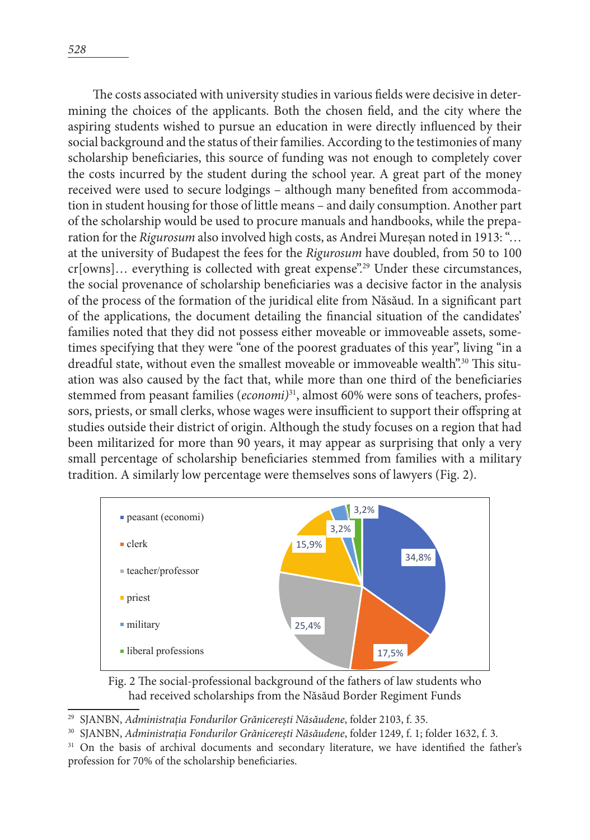The costs associated with university studies in various fields were decisive in determining the choices of the applicants. Both the chosen field, and the city where the aspiring students wished to pursue an education in were directly influenced by their social background and the status of their families. According to the testimonies of many scholarship beneficiaries, this source of funding was not enough to completely cover the costs incurred by the student during the school year. A great part of the money received were used to secure lodgings – although many benefited from accommodation in student housing for those of little means – and daily consumption. Another part of the scholarship would be used to procure manuals and handbooks, while the preparation for the *Rigurosum* also involved high costs, as Andrei Mureșan noted in 1913: "… at the university of Budapest the fees for the *Rigurosum* have doubled, from 50 to 100  $cr[owns]...$  everything is collected with great expense".<sup>29</sup> Under these circumstances, the social provenance of scholarship beneficiaries was a decisive factor in the analysis of the process of the formation of the juridical elite from Năsăud. In a significant part of the applications, the document detailing the financial situation of the candidates' families noted that they did not possess either moveable or immoveable assets, sometimes specifying that they were "one of the poorest graduates of this year", living "in a dreadful state, without even the smallest moveable or immoveable wealth".30 This situation was also caused by the fact that, while more than one third of the beneficiaries stemmed from peasant families (*economi*)<sup>31</sup>, almost 60% were sons of teachers, professors, priests, or small clerks, whose wages were insufficient to support their offspring at studies outside their district of origin. Although the study focuses on a region that had been militarized for more than 90 years, it may appear as surprising that only a very small percentage of scholarship beneficiaries stemmed from families with a military tradition. A similarly low percentage were themselves sons of lawyers (Fig. 2).



Fig. 2 The social-professional background of the fathers of law students who had received scholarships from the Năsăud Border Regiment Funds

<sup>29</sup> SJANBN, *Administrația Fondurilor Grănicerești Năsăudene*, folder 2103, f. 35.

<sup>30</sup> SJANBN, *Administrația Fondurilor Grănicerești Năsăudene*, folder 1249, f. 1; folder 1632, f. 3.

<sup>31</sup> On the basis of archival documents and secondary literature, we have identified the father's profession for 70% of the scholarship beneficiaries.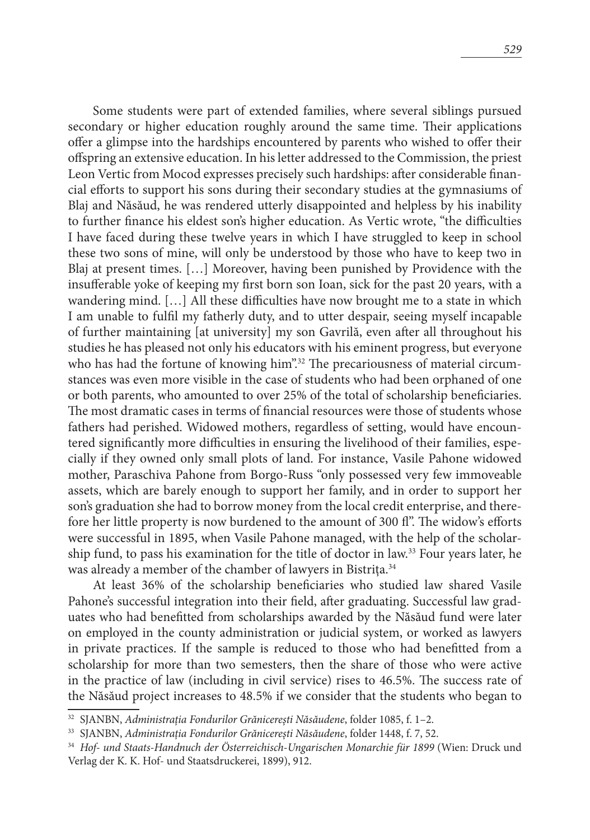Some students were part of extended families, where several siblings pursued secondary or higher education roughly around the same time. Their applications offer a glimpse into the hardships encountered by parents who wished to offer their offspring an extensive education. In his letter addressed to the Commission, the priest Leon Vertic from Mocod expresses precisely such hardships: after considerable financial efforts to support his sons during their secondary studies at the gymnasiums of Blaj and Năsăud, he was rendered utterly disappointed and helpless by his inability to further finance his eldest son's higher education. As Vertic wrote, "the difficulties I have faced during these twelve years in which I have struggled to keep in school these two sons of mine, will only be understood by those who have to keep two in Blaj at present times. […] Moreover, having been punished by Providence with the insufferable yoke of keeping my first born son Ioan, sick for the past 20 years, with a wandering mind. […] All these difficulties have now brought me to a state in which I am unable to fulfil my fatherly duty, and to utter despair, seeing myself incapable of further maintaining [at university] my son Gavrilă, even after all throughout his studies he has pleased not only his educators with his eminent progress, but everyone who has had the fortune of knowing him".<sup>32</sup> The precariousness of material circumstances was even more visible in the case of students who had been orphaned of one or both parents, who amounted to over 25% of the total of scholarship beneficiaries. The most dramatic cases in terms of financial resources were those of students whose fathers had perished. Widowed mothers, regardless of setting, would have encountered significantly more difficulties in ensuring the livelihood of their families, especially if they owned only small plots of land. For instance, Vasile Pahone widowed mother, Paraschiva Pahone from Borgo-Russ "only possessed very few immoveable assets, which are barely enough to support her family, and in order to support her son's graduation she had to borrow money from the local credit enterprise, and therefore her little property is now burdened to the amount of 300 fl". The widow's efforts were successful in 1895, when Vasile Pahone managed, with the help of the scholarship fund, to pass his examination for the title of doctor in law.33 Four years later, he was already a member of the chamber of lawyers in Bistrita.<sup>34</sup>

At least 36% of the scholarship beneficiaries who studied law shared Vasile Pahone's successful integration into their field, after graduating. Successful law graduates who had benefitted from scholarships awarded by the Năsăud fund were later on employed in the county administration or judicial system, or worked as lawyers in private practices. If the sample is reduced to those who had benefitted from a scholarship for more than two semesters, then the share of those who were active in the practice of law (including in civil service) rises to 46.5%. The success rate of the Năsăud project increases to 48.5% if we consider that the students who began to

<sup>32</sup> SJANBN, *Administrația Fondurilor Grănicerești Năsăudene*, folder 1085, f. 1–2.

<sup>33</sup> SJANBN, *Administrația Fondurilor Grănicerești Năsăudene*, folder 1448, f. 7, 52.

<sup>34</sup> *Hof- und Staats-Handnuch der Österreichisch-Ungarischen Monarchie für 1899* (Wien: Druck und Verlag der K. K. Hof- und Staatsdruckerei, 1899), 912.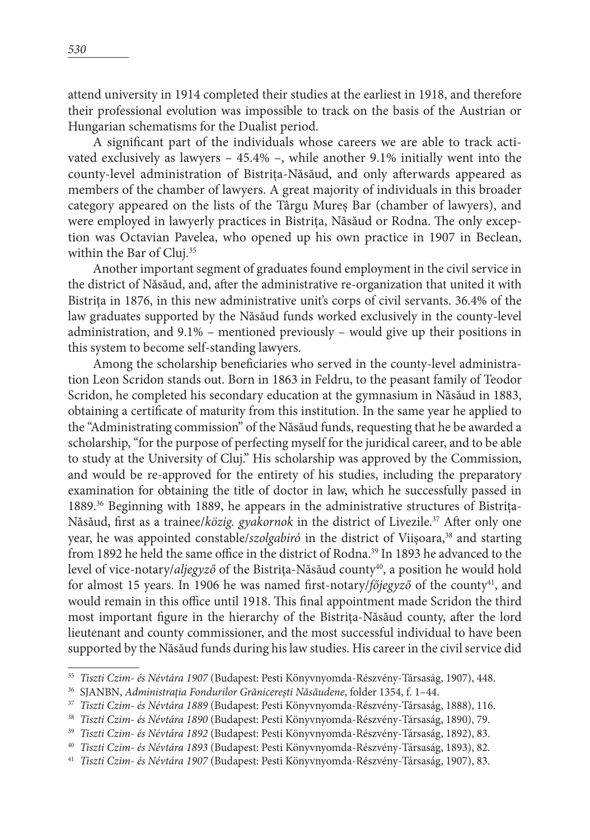attend university in 1914 completed their studies at the earliest in 1918, and therefore their professional evolution was impossible to track on the basis of the Austrian or Hungarian schematisms for the Dualist period.

A significant part of the individuals whose careers we are able to track activated exclusively as lawyers – 45.4% –, while another 9.1% initially went into the county-level administration of Bistrița-Năsăud, and only afterwards appeared as members of the chamber of lawyers. A great majority of individuals in this broader category appeared on the lists of the Târgu Mureș Bar (chamber of lawyers), and were employed in lawyerly practices in Bistrița, Năsăud or Rodna. The only exception was Octavian Pavelea, who opened up his own practice in 1907 in Beclean, within the Bar of Cluj.<sup>35</sup>

Another important segment of graduates found employment in the civil service in the district of Năsăud, and, after the administrative re-organization that united it with Bistrița in 1876, in this new administrative unit's corps of civil servants. 36.4% of the law graduates supported by the Năsăud funds worked exclusively in the county-level administration, and 9.1% – mentioned previously – would give up their positions in this system to become self-standing lawyers.

Among the scholarship beneficiaries who served in the county-level administration Leon Scridon stands out. Born in 1863 in Feldru, to the peasant family of Teodor Scridon, he completed his secondary education at the gymnasium in Năsăud in 1883, obtaining a certificate of maturity from this institution. In the same year he applied to the "Administrating commission" of the Năsăud funds, requesting that he be awarded a scholarship, "for the purpose of perfecting myself for the juridical career, and to be able to study at the University of Cluj." His scholarship was approved by the Commission, and would be re-approved for the entirety of his studies, including the preparatory examination for obtaining the title of doctor in law, which he successfully passed in 1889.<sup>36</sup> Beginning with 1889, he appears in the administrative structures of Bistrița-Năsăud, first as a trainee/*közig. gyakornok* in the district of Livezile.<sup>37</sup> After only one year, he was appointed constable/szolgabiró in the district of Viișoara,<sup>38</sup> and starting from 1892 he held the same office in the district of Rodna.<sup>39</sup> In 1893 he advanced to the level of vice-notary/*aljegyző* of the Bistrița-Năsăud county<sup>40</sup>, a position he would hold for almost 15 years. In 1906 he was named first-notary/*főjegyző* of the county<sup>41</sup>, and would remain in this office until 1918. This final appointment made Scridon the third most important figure in the hierarchy of the Bistrița-Năsăud county, after the lord lieutenant and county commissioner, and the most successful individual to have been supported by the Năsăud funds during his law studies. His career in the civil service did

<sup>35</sup> *Tiszti Czim- és Névtára 1907* (Budapest: Pesti Könyvnyomda-Részvény-Társaság, 1907), 448. 36 SJANBN, *Administrația Fondurilor Grănicerești Năsăudene*, folder 1354, f. 1–44.

<sup>37</sup> *Tiszti Czim- és Névtára 1889* (Budapest: Pesti Könyvnyomda-Részvény-Társaság, 1888), 116.

<sup>&</sup>lt;sup>38</sup> *Tiszti Czim- és Névtára 1890* (Budapest: Pesti Könyvnyomda-Részvény-Társaság, 1890), 79.<br><sup>39</sup> *Tiszti Czim- és Névtára 1892* (Budapest: Pesti Könyvnyomda-Részvény-Társaság, 1892), 83.

<sup>40</sup> *Tiszti Czim- és Névtára 1893* (Budapest: Pesti Könyvnyomda-Részvény-Társaság, 1893), 82.

<sup>41</sup> *Tiszti Czim- és Névtára 1907* (Budapest: Pesti Könyvnyomda-Részvény-Társaság, 1907), 83.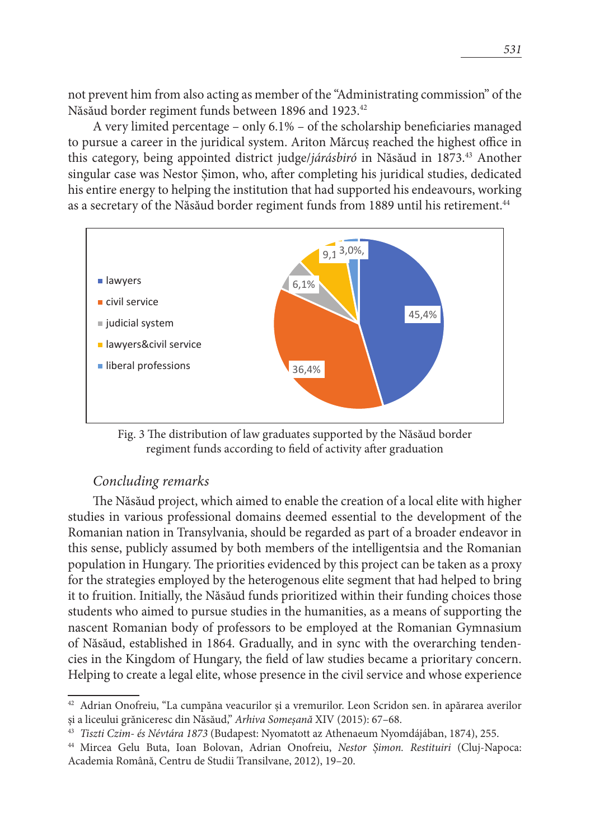not prevent him from also acting as member of the "Administrating commission" of the Năsăud border regiment funds between 1896 and 1923.42

A very limited percentage – only 6.1% – of the scholarship beneficiaries managed to pursue a career in the juridical system. Ariton Mărcuș reached the highest office in this category, being appointed district judge/*járásbiró* in Năsăud in 1873.43 Another singular case was Nestor Șimon, who, after completing his juridical studies, dedicated his entire energy to helping the institution that had supported his endeavours, working as a secretary of the Năsăud border regiment funds from 1889 until his retirement.<sup>44</sup>



Fig. 3 The distribution of law graduates supported by the Năsăud border regiment funds according to field of activity after graduation

# *Concluding remarks*

The Năsăud project, which aimed to enable the creation of a local elite with higher studies in various professional domains deemed essential to the development of the Romanian nation in Transylvania, should be regarded as part of a broader endeavor in this sense, publicly assumed by both members of the intelligentsia and the Romanian population in Hungary. The priorities evidenced by this project can be taken as a proxy for the strategies employed by the heterogenous elite segment that had helped to bring it to fruition. Initially, the Năsăud funds prioritized within their funding choices those students who aimed to pursue studies in the humanities, as a means of supporting the nascent Romanian body of professors to be employed at the Romanian Gymnasium of Năsăud, established in 1864. Gradually, and in sync with the overarching tendencies in the Kingdom of Hungary, the field of law studies became a prioritary concern. Helping to create a legal elite, whose presence in the civil service and whose experience

<sup>42</sup> Adrian Onofreiu, "La cumpăna veacurilor și a vremurilor. Leon Scridon sen. în apărarea averilor și a liceului grăniceresc din Năsăud," *Arhiva Someșană* XIV (2015): 67–68.

<sup>43</sup> *Tiszti Czim- és Névtára 1873* (Budapest: Nyomatott az Athenaeum Nyomdájában, 1874), 255.

<sup>44</sup> Mircea Gelu Buta, Ioan Bolovan, Adrian Onofreiu, *Nestor Șimon. Restituiri* (Cluj-Napoca: Academia Română, Centru de Studii Transilvane, 2012), 19–20.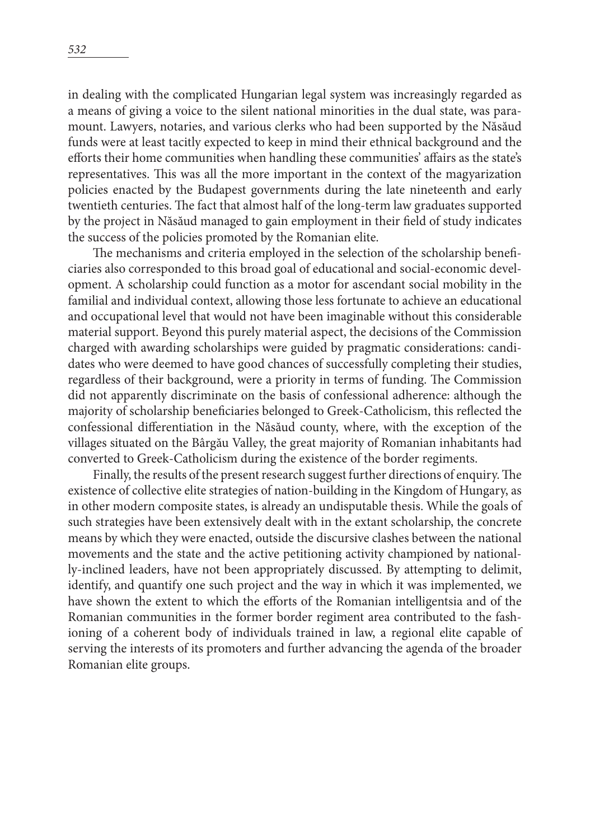in dealing with the complicated Hungarian legal system was increasingly regarded as a means of giving a voice to the silent national minorities in the dual state, was paramount. Lawyers, notaries, and various clerks who had been supported by the Năsăud funds were at least tacitly expected to keep in mind their ethnical background and the efforts their home communities when handling these communities' affairs as the state's representatives. This was all the more important in the context of the magyarization policies enacted by the Budapest governments during the late nineteenth and early twentieth centuries. The fact that almost half of the long-term law graduates supported by the project in Năsăud managed to gain employment in their field of study indicates the success of the policies promoted by the Romanian elite.

The mechanisms and criteria employed in the selection of the scholarship beneficiaries also corresponded to this broad goal of educational and social-economic development. A scholarship could function as a motor for ascendant social mobility in the familial and individual context, allowing those less fortunate to achieve an educational and occupational level that would not have been imaginable without this considerable material support. Beyond this purely material aspect, the decisions of the Commission charged with awarding scholarships were guided by pragmatic considerations: candidates who were deemed to have good chances of successfully completing their studies, regardless of their background, were a priority in terms of funding. The Commission did not apparently discriminate on the basis of confessional adherence: although the majority of scholarship beneficiaries belonged to Greek-Catholicism, this reflected the confessional differentiation in the Năsăud county, where, with the exception of the villages situated on the Bârgău Valley, the great majority of Romanian inhabitants had converted to Greek-Catholicism during the existence of the border regiments.

Finally, the results of the present research suggest further directions of enquiry. The existence of collective elite strategies of nation-building in the Kingdom of Hungary, as in other modern composite states, is already an undisputable thesis. While the goals of such strategies have been extensively dealt with in the extant scholarship, the concrete means by which they were enacted, outside the discursive clashes between the national movements and the state and the active petitioning activity championed by nationally-inclined leaders, have not been appropriately discussed. By attempting to delimit, identify, and quantify one such project and the way in which it was implemented, we have shown the extent to which the efforts of the Romanian intelligentsia and of the Romanian communities in the former border regiment area contributed to the fashioning of a coherent body of individuals trained in law, a regional elite capable of serving the interests of its promoters and further advancing the agenda of the broader Romanian elite groups.